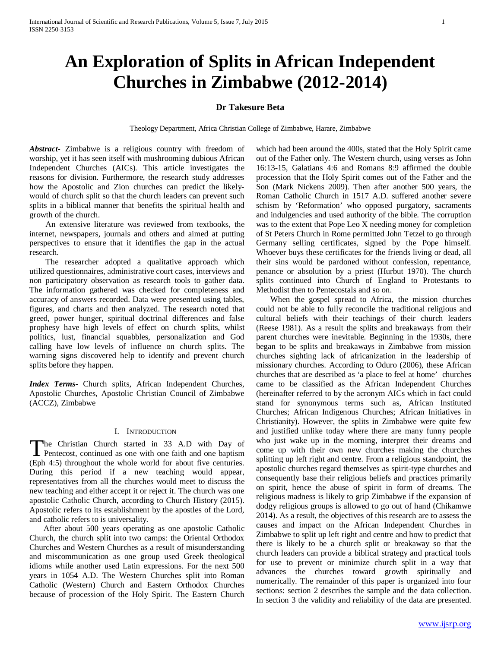# **An Exploration of Splits in African Independent Churches in Zimbabwe (2012-2014)**

# **Dr Takesure Beta**

Theology Department, Africa Christian College of Zimbabwe, Harare, Zimbabwe

*Abstract***-** Zimbabwe is a religious country with freedom of worship, yet it has seen itself with mushrooming dubious African Independent Churches (AICs). This article investigates the reasons for division. Furthermore, the research study addresses how the Apostolic and Zion churches can predict the likelywould of church split so that the church leaders can prevent such splits in a biblical manner that benefits the spiritual health and growth of the church.

 An extensive literature was reviewed from textbooks, the internet, newspapers, journals and others and aimed at putting perspectives to ensure that it identifies the gap in the actual research.

 The researcher adopted a qualitative approach which utilized questionnaires, administrative court cases, interviews and non participatory observation as research tools to gather data. The information gathered was checked for completeness and accuracy of answers recorded. Data were presented using tables, figures, and charts and then analyzed. The research noted that greed, power hunger, spiritual doctrinal differences and false prophesy have high levels of effect on church splits, whilst politics, lust, financial squabbles, personalization and God calling have low levels of influence on church splits. The warning signs discovered help to identify and prevent church splits before they happen.

*Index Terms*- Church splits, African Independent Churches, Apostolic Churches, Apostolic Christian Council of Zimbabwe (ACCZ), Zimbabwe

## I. INTRODUCTION

The Christian Church started in 33 A.D with Day of The Christian Church started in 33 A.D with Day of<br>Pentecost, continued as one with one faith and one baptism (Eph 4:5) throughout the whole world for about five centuries. During this period if a new teaching would appear, representatives from all the churches would meet to discuss the new teaching and either accept it or reject it. The church was one apostolic Catholic Church, according to Church History (2015). Apostolic refers to its establishment by the apostles of the Lord, and catholic refers to is universality.

 After about 500 years operating as one apostolic Catholic Church, the church split into two camps: the Oriental Orthodox Churches and Western Churches as a result of misunderstanding and miscommunication as one group used Greek theological idioms while another used Latin expressions. For the next 500 years in 1054 A.D. The Western Churches split into Roman Catholic (Western) Church and Eastern Orthodox Churches because of procession of the Holy Spirit. The Eastern Church which had been around the 400s, stated that the Holy Spirit came out of the Father only. The Western church, using verses as John 16:13-15, Galatians 4:6 and Romans 8:9 affirmed the double procession that the Holy Spirit comes out of the Father and the Son (Mark Nickens 2009). Then after another 500 years, the Roman Catholic Church in 1517 A.D. suffered another severe schism by 'Reformation' who opposed purgatory, sacraments and indulgencies and used authority of the bible. The corruption was to the extent that Pope Leo X needing money for completion of St Peters Church in Rome permitted John Tetzel to go through Germany selling certificates, signed by the Pope himself. Whoever buys these certificates for the friends living or dead, all their sins would be pardoned without confession, repentance, penance or absolution by a priest (Hurbut 1970). The church splits continued into Church of England to Protestants to Methodist then to Pentecostals and so on.

 When the gospel spread to Africa, the mission churches could not be able to fully reconcile the traditional religious and cultural beliefs with their teachings of their church leaders (Reese 1981). As a result the splits and breakaways from their parent churches were inevitable. Beginning in the 1930s, there began to be splits and breakaways in Zimbabwe from mission churches sighting lack of africanization in the leadership of missionary churches. According to Oduro (2006), these African churches that are described as 'a place to feel at home' churches came to be classified as the African Independent Churches (hereinafter referred to by the acronym AICs which in fact could stand for synonymous terms such as, African Instituted Churches; African Indigenous Churches; African Initiatives in Christianity). However, the splits in Zimbabwe were quite few and justified unlike today where there are many funny people who just wake up in the morning, interpret their dreams and come up with their own new churches making the churches splitting up left right and centre. From a religious standpoint, the apostolic churches regard themselves as spirit-type churches and consequently base their religious beliefs and practices primarily on spirit, hence the abuse of spirit in form of dreams. The religious madness is likely to grip Zimbabwe if the expansion of dodgy religious groups is allowed to go out of hand (Chikamwe 2014). As a result, the objectives of this research are to assess the causes and impact on the African Independent Churches in Zimbabwe to split up left right and centre and how to predict that there is likely to be a church split or breakaway so that the church leaders can provide a biblical strategy and practical tools for use to prevent or minimize church split in a way that advances the churches toward growth spiritually and numerically. The remainder of this paper is organized into four sections: section 2 describes the sample and the data collection. In section 3 the validity and reliability of the data are presented.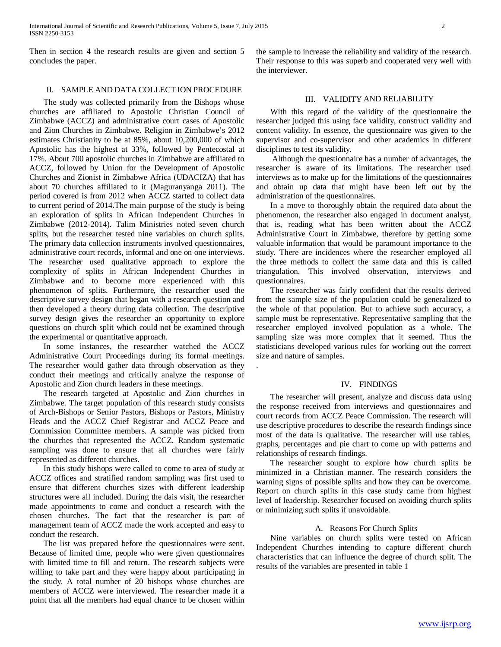Then in section 4 the research results are given and section 5 concludes the paper.

# II. SAMPLE AND DATA COLLECT ION PROCEDURE

 The study was collected primarily from the Bishops whose churches are affiliated to Apostolic Christian Council of Zimbabwe (ACCZ) and administrative court cases of Apostolic and Zion Churches in Zimbabwe. Religion in Zimbabwe's 2012 estimates Christianity to be at 85%, about 10,200,000 of which Apostolic has the highest at 33%, followed by Pentecostal at 17%. About 700 apostolic churches in Zimbabwe are affiliated to ACCZ, followed by Union for the Development of Apostolic Churches and Zionist in Zimbabwe Africa (UDACIZA) that has about 70 churches affiliated to it (Maguranyanga 2011). The period covered is from 2012 when ACCZ started to collect data to current period of 2014.The main purpose of the study is being an exploration of splits in African Independent Churches in Zimbabwe (2012-2014). Talim Ministries noted seven church splits, but the researcher tested nine variables on church splits. The primary data collection instruments involved questionnaires, administrative court records, informal and one on one interviews. The researcher used qualitative approach to explore the complexity of splits in African Independent Churches in Zimbabwe and to become more experienced with this phenomenon of splits. Furthermore, the researcher used the descriptive survey design that began with a research question and then developed a theory during data collection. The descriptive survey design gives the researcher an opportunity to explore questions on church split which could not be examined through the experimental or quantitative approach.

 In some instances, the researcher watched the ACCZ Administrative Court Proceedings during its formal meetings. The researcher would gather data through observation as they conduct their meetings and critically analyze the response of Apostolic and Zion church leaders in these meetings.

 The research targeted at Apostolic and Zion churches in Zimbabwe. The target population of this research study consists of Arch-Bishops or Senior Pastors, Bishops or Pastors, Ministry Heads and the ACCZ Chief Registrar and ACCZ Peace and Commission Committee members. A sample was picked from the churches that represented the ACCZ. Random systematic sampling was done to ensure that all churches were fairly represented as different churches.

 In this study bishops were called to come to area of study at ACCZ offices and stratified random sampling was first used to ensure that different churches sizes with different leadership structures were all included. During the dais visit, the researcher made appointments to come and conduct a research with the chosen churches. The fact that the researcher is part of management team of ACCZ made the work accepted and easy to conduct the research.

 The list was prepared before the questionnaires were sent. Because of limited time, people who were given questionnaires with limited time to fill and return. The research subjects were willing to take part and they were happy about participating in the study. A total number of 20 bishops whose churches are members of ACCZ were interviewed. The researcher made it a point that all the members had equal chance to be chosen within the sample to increase the reliability and validity of the research. Their response to this was superb and cooperated very well with the interviewer.

### III. VALIDITY AND RELIABILITY

 With this regard of the validity of the questionnaire the researcher judged this using face validity, construct validity and content validity. In essence, the questionnaire was given to the supervisor and co-supervisor and other academics in different disciplines to test its validity.

 Although the questionnaire has a number of advantages, the researcher is aware of its limitations. The researcher used interviews as to make up for the limitations of the questionnaires and obtain up data that might have been left out by the administration of the questionnaires.

 In a move to thoroughly obtain the required data about the phenomenon, the researcher also engaged in document analyst, that is, reading what has been written about the ACCZ Administrative Court in Zimbabwe, therefore by getting some valuable information that would be paramount importance to the study. There are incidences where the researcher employed all the three methods to collect the same data and this is called triangulation. This involved observation, interviews and questionnaires.

 The researcher was fairly confident that the results derived from the sample size of the population could be generalized to the whole of that population. But to achieve such accuracy, a sample must be representative. Representative sampling that the researcher employed involved population as a whole. The sampling size was more complex that it seemed. Thus the statisticians developed various rules for working out the correct size and nature of samples.

.

#### IV. FINDINGS

 The researcher will present, analyze and discuss data using the response received from interviews and questionnaires and court records from ACCZ Peace Commission. The research will use descriptive procedures to describe the research findings since most of the data is qualitative. The researcher will use tables, graphs, percentages and pie chart to come up with patterns and relationships of research findings.

 The researcher sought to explore how church splits be minimized in a Christian manner. The research considers the warning signs of possible splits and how they can be overcome. Report on church splits in this case study came from highest level of leadership. Researcher focused on avoiding church splits or minimizing such splits if unavoidable.

#### A. Reasons For Church Splits

 Nine variables on church splits were tested on African Independent Churches intending to capture different church characteristics that can influence the degree of church split. The results of the variables are presented in table 1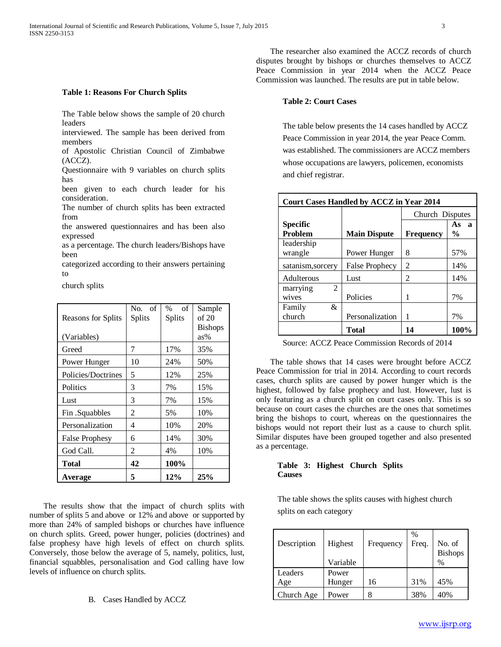#### **Table 1: Reasons For Church Splits**

The Table below shows the sample of 20 church leaders

interviewed. The sample has been derived from members

of Apostolic Christian Council of Zimbabwe (ACCZ).

Questionnaire with 9 variables on church splits has

been given to each church leader for his consideration.

The number of church splits has been extracted from

the answered questionnaires and has been also expressed

as a percentage. The church leaders/Bishops have been

categorized according to their answers pertaining to

church splits

| Reasons for Splits    | No. of<br>Splits | of<br>$\%$<br>Splits | Sample<br>of 20       |
|-----------------------|------------------|----------------------|-----------------------|
| (Variables)           |                  |                      | <b>Bishops</b><br>as% |
| Greed                 | 7                | 17%                  | 35%                   |
| Power Hunger          | 10               | 24%                  | 50%                   |
| Policies/Doctrines    | 5                | 12%                  | 25%                   |
| Politics              | 3                | 7%                   | 15%                   |
| Lust                  | 3                | 7%                   | 15%                   |
| Fin .Squabbles        | 2                | 5%                   | 10%                   |
| Personalization       | 4                | 10%                  | 20%                   |
| <b>False Prophesy</b> | 6                | 14%                  | 30%                   |
| God Call.             | 2                | 4%                   | 10%                   |
| <b>Total</b>          | 42               | 100%                 |                       |
| Average               | 5                | 12%                  | 25%                   |

 The results show that the impact of church splits with number of splits 5 and above or 12% and above or supported by more than 24% of sampled bishops or churches have influence on church splits. Greed, power hunger, policies (doctrines) and false prophesy have high levels of effect on church splits. Conversely, those below the average of 5, namely, politics, lust, financial squabbles, personalisation and God calling have low levels of influence on church splits.

B. Cases Handled by ACCZ

 The researcher also examined the ACCZ records of church disputes brought by bishops or churches themselves to ACCZ Peace Commission in year 2014 when the ACCZ Peace Commission was launched. The results are put in table below.

#### **Table 2: Court Cases**

The table below presents the 14 cases handled by ACCZ Peace Commission in year 2014, the year Peace Comm. was established. The commissioners are ACCZ members whose occupations are lawyers, policemen, economists and chief registrar.

| <b>Court Cases Handled by ACCZ in Year 2014</b> |                       |                  |                                     |  |
|-------------------------------------------------|-----------------------|------------------|-------------------------------------|--|
|                                                 |                       | Church Disputes  |                                     |  |
| <b>Specific</b><br>Problem                      |                       |                  | As<br>$\mathbf a$<br>$\frac{6}{10}$ |  |
|                                                 | <b>Main Dispute</b>   | <b>Frequency</b> |                                     |  |
| leadership<br>wrangle                           | Power Hunger          | 8                | 57%                                 |  |
| satanism, sorcery                               | <b>False Prophecy</b> | 2                | 14%                                 |  |
| Adulterous                                      | Lust                  | 2                | 14%                                 |  |
| 2<br>marrying<br>wives                          | Policies              | 1                | 7%                                  |  |
| &<br>Family                                     |                       |                  |                                     |  |
| church                                          | Personalization       | 1                | 7%                                  |  |
|                                                 | <b>Total</b>          | 14               | 100%                                |  |

Source: ACCZ Peace Commission Records of 2014

 The table shows that 14 cases were brought before ACCZ Peace Commission for trial in 2014. According to court records cases, church splits are caused by power hunger which is the highest, followed by false prophecy and lust. However, lust is only featuring as a church split on court cases only. This is so because on court cases the churches are the ones that sometimes bring the bishops to court, whereas on the questionnaires the bishops would not report their lust as a cause to church split. Similar disputes have been grouped together and also presented as a percentage.

#### **Table 3: Highest Church Splits Causes**

The table shows the splits causes with highest church splits on each category

| Description | Highest<br>Variable | Frequency | %<br>Freq. | No. of<br><b>Bishops</b><br>$\%$ |
|-------------|---------------------|-----------|------------|----------------------------------|
| Leaders     | Power               |           |            |                                  |
| Age         | Hunger              | 16        | 31%        | 45%                              |
| Church Age  | Power               |           | 38%        | 40%                              |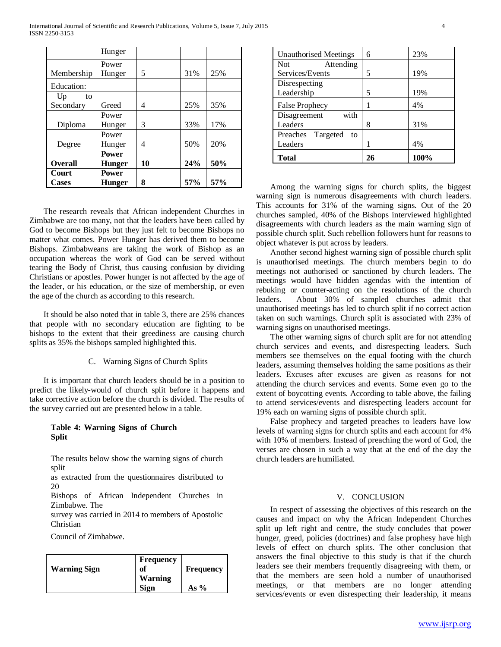International Journal of Scientific and Research Publications, Volume 5, Issue 7, July 2015 4 ISSN 2250-3153

|                      | Hunger        |    |     |     |
|----------------------|---------------|----|-----|-----|
|                      | Power         |    |     |     |
| Membership           | Hunger        | 5  | 31% | 25% |
| Education:           |               |    |     |     |
| U <sub>p</sub><br>to |               |    |     |     |
| Secondary            | Greed         | 4  | 25% | 35% |
|                      | Power         |    |     |     |
| Diploma              | Hunger        | 3  | 33% | 17% |
|                      | Power         |    |     |     |
| Degree               | Hunger        | 4  | 50% | 20% |
|                      | <b>Power</b>  |    |     |     |
| <b>Overall</b>       | Hunger        | 10 | 24% | 50% |
| Court                | <b>Power</b>  |    |     |     |
| <b>Cases</b>         | <b>Hunger</b> | 8  | 57% | 57% |

 The research reveals that African independent Churches in Zimbabwe are too many, not that the leaders have been called by God to become Bishops but they just felt to become Bishops no matter what comes. Power Hunger has derived them to become Bishops. Zimbabweans are taking the work of Bishop as an occupation whereas the work of God can be served without tearing the Body of Christ, thus causing confusion by dividing Christians or apostles. Power hunger is not affected by the age of the leader, or his education, or the size of membership, or even the age of the church as according to this research.

 It should be also noted that in table 3, there are 25% chances that people with no secondary education are fighting to be bishops to the extent that their greediness are causing church splits as 35% the bishops sampled highlighted this.

#### C. Warning Signs of Church Splits

 It is important that church leaders should be in a position to predict the likely-would of church split before it happens and take corrective action before the church is divided. The results of the survey carried out are presented below in a table.

## **Table 4: Warning Signs of Church Split**

The results below show the warning signs of church split

as extracted from the questionnaires distributed to 20

Bishops of African Independent Churches in Zimbabwe. The

survey was carried in 2014 to members of Apostolic Christian

Council of Zimbabwe.

| <b>Warning Sign</b> | <b>Frequency</b><br>оf<br><b>Warning</b> | <b>Frequency</b> |
|---------------------|------------------------------------------|------------------|
|                     | <b>Sign</b>                              | As %             |

| Unauthorised Meetings   | 6  | 23%  |
|-------------------------|----|------|
| Attending<br><b>Not</b> |    |      |
| Services/Events         | 5  | 19%  |
| Disrespecting           |    |      |
| Leadership              | 5  | 19%  |
| <b>False Prophecy</b>   |    | 4%   |
| with<br>Disagreement    |    |      |
| Leaders                 | 8  | 31%  |
| Preaches Targeted<br>to |    |      |
| Leaders                 |    | 4%   |
| Total                   | 26 | 100% |

 Among the warning signs for church splits, the biggest warning sign is numerous disagreements with church leaders. This accounts for 31% of the warning signs. Out of the 20 churches sampled, 40% of the Bishops interviewed highlighted disagreements with church leaders as the main warning sign of possible church split. Such rebellion followers hunt for reasons to object whatever is put across by leaders.

 Another second highest warning sign of possible church split is unauthorised meetings. The church members begin to do meetings not authorised or sanctioned by church leaders. The meetings would have hidden agendas with the intention of rebuking or counter-acting on the resolutions of the church leaders. About 30% of sampled churches admit that unauthorised meetings has led to church split if no correct action taken on such warnings. Church split is associated with 23% of warning signs on unauthorised meetings.

 The other warning signs of church split are for not attending church services and events, and disrespecting leaders. Such members see themselves on the equal footing with the church leaders, assuming themselves holding the same positions as their leaders. Excuses after excuses are given as reasons for not attending the church services and events. Some even go to the extent of boycotting events. According to table above, the failing to attend services/events and disrespecting leaders account for 19% each on warning signs of possible church split.

 False prophecy and targeted preaches to leaders have low levels of warning signs for church splits and each account for 4% with 10% of members. Instead of preaching the word of God, the verses are chosen in such a way that at the end of the day the church leaders are humiliated.

#### V. CONCLUSION

 In respect of assessing the objectives of this research on the causes and impact on why the African Independent Churches split up left right and centre, the study concludes that power hunger, greed, policies (doctrines) and false prophesy have high levels of effect on church splits. The other conclusion that answers the final objective to this study is that if the church leaders see their members frequently disagreeing with them, or that the members are seen hold a number of unauthorised meetings, or that members are no longer attending services/events or even disrespecting their leadership, it means